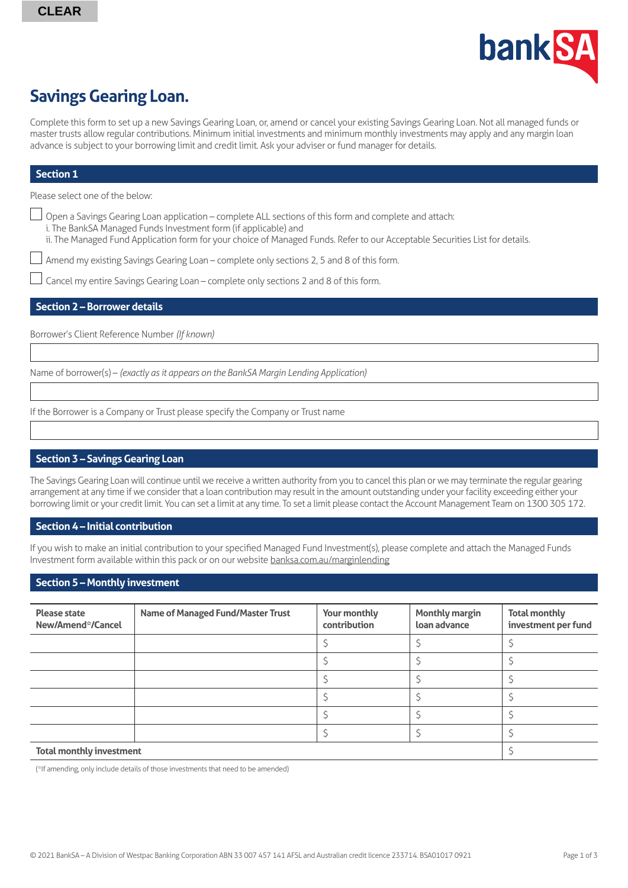

# **Savings Gearing Loan.**

Complete this form to set up a new Savings Gearing Loan, or, amend or cancel your existing Savings Gearing Loan. Not all managed funds or master trusts allow regular contributions. Minimum initial investments and minimum monthly investments may apply and any margin loan advance is subject to your borrowing limit and credit limit. Ask your adviser or fund manager for details.

#### **Section 1**

Please select one of the below:

- Open a Savings Gearing Loan application complete ALL sections of this form and complete and attach:
	- i. The BankSA Managed Funds Investment form (if applicable) and
	- ii. The Managed Fund Application form for your choice of Managed Funds. Refer to our Acceptable Securities List for details.

Amend my existing Savings Gearing Loan – complete only sections 2, 5 and 8 of this form.

Cancel my entire Savings Gearing Loan – complete only sections 2 and 8 of this form.

#### **Section 2 – Borrower details**

Borrower's Client Reference Number *(If known)*

Name of borrower(s) – *(exactly as it appears on the BankSA Margin Lending Application)*

If the Borrower is a Company or Trust please specify the Company or Trust name

## **Section 3 – Savings Gearing Loan**

The Savings Gearing Loan will continue until we receive a written authority from you to cancel this plan or we may terminate the regular gearing arrangement at any time if we consider that a loan contribution may result in the amount outstanding under your facility exceeding either your borrowing limit or your credit limit. You can set a limit at any time. To set a limit please contact the Account Management Team on 1300 305 172.

#### **Section 4 – Initial contribution**

If you wish to make an initial contribution to your specified Managed Fund Investment(s), please complete and attach the Managed Funds Investment form available within this pack or on our website [banksa.com.au/marginlending](http://banksa.com.au/marginlending)

#### **Section 5 – Monthly investment**

| <b>Please state</b><br>New/Amend*/Cancel | <b>Name of Managed Fund/Master Trust</b> | Your monthly<br>contribution | <b>Monthly margin</b><br>loan advance | <b>Total monthly</b><br>investment per fund |
|------------------------------------------|------------------------------------------|------------------------------|---------------------------------------|---------------------------------------------|
|                                          |                                          |                              |                                       |                                             |
|                                          |                                          |                              |                                       |                                             |
|                                          |                                          |                              |                                       |                                             |
|                                          |                                          |                              |                                       |                                             |
|                                          |                                          |                              |                                       |                                             |
|                                          |                                          |                              |                                       |                                             |
| <b>Total monthly investment</b>          |                                          |                              |                                       |                                             |

(\*If amending, only include details of those investments that need to be amended)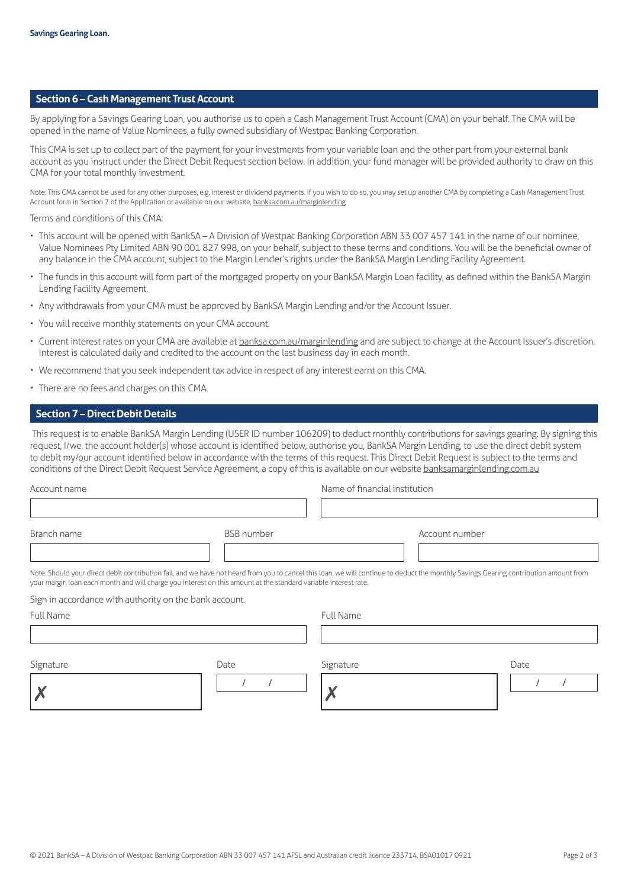#### **Section 6 – Cash Management Trust Account**

By applying for a Savings Gearing Loan, you authorise us to open a Cash Management Trust Account (CMA) on your behalf. The CMA will be opened in the name of Value Nominees, a fully owned subsidiary of Westpac Banking Corporation.

This CMA is set up to collect part of the payment for your investments from your variable loan and the other part from your external bank account as you instruct under the Direct Debit Request section below. In addition, your fund manager will be provided authority to draw on this CMA for your total monthly investment.

Note: This CMA cannot be used for any other purposes, e.g. interest or dividend payments. If you wish to do so, you may set up another CMA by completing a Cash Management Trust Account form in Section 7 of the Application or available on our website, [banksa.com.au/marginlending](http://banksa.com.au/marginlending)

Terms and conditions of this CMA:

- This account will be opened with BankSA A Division of Westpac Banking Corporation ABN 33 007 457 141 in the name of our nominee, Value Nominees Pty Limited ABN 90 001 827 998, on your behalf, subject to these terms and conditions. You will be the beneficial owner of any balance in the CMA account, subject to the Margin Lender's rights under the BankSA Margin Lending Facility Agreement.
- The funds in this account will form part of the mortgaged property on your BankSA Margin Loan facility, as defined within the BankSA Margin Lending Facility Agreement.
- Any withdrawals from your CMA must be approved by BankSA Margin Lending and/or the Account Issuer.
- You will receive monthly statements on your CMA account.
- Current interest rates on your CMA are available at [banksa.com.au/marginlending](http://banksa.com.au/marginlending) and are subject to change at the Account Issuer's discretion. Interest is calculated daily and credited to the account on the last business day in each month.
- We recommend that you seek independent tax advice in respect of any interest earnt on this CMA.
- There are no fees and charges on this CMA.

#### **Section 7 – Direct Debit Details**

 This request is to enable BankSA Margin Lending (USER ID number 106209) to deduct monthly contributions for savings gearing. By signing this request, I/we, the account holder(s) whose account is identified below, authorise you, BankSA Margin Lending, to use the direct debit system to debit my/our account identified below in accordance with the terms of this request. This Direct Debit Request is subject to the terms and conditions of the Direct Debit Request Service Agreement, a copy of this is available on our website [banksamarginlending.com.au](http://banksamarginlending.com.au)

| Account name                                                                                                                                                                                                                                                                                             |                   | Name of financial institution |                |      |
|----------------------------------------------------------------------------------------------------------------------------------------------------------------------------------------------------------------------------------------------------------------------------------------------------------|-------------------|-------------------------------|----------------|------|
|                                                                                                                                                                                                                                                                                                          |                   |                               |                |      |
| Branch name                                                                                                                                                                                                                                                                                              | <b>BSB</b> number |                               | Account number |      |
| Note: Should your direct debit contribution fail, and we have not heard from you to cancel this loan, we will continue to deduct the monthly Savings Gearing contribution amount from<br>your margin loan each month and will charge you interest on this amount at the standard variable interest rate. |                   |                               |                |      |
| Sign in accordance with authority on the bank account.                                                                                                                                                                                                                                                   |                   |                               |                |      |
| <b>Full Name</b>                                                                                                                                                                                                                                                                                         |                   | <b>Full Name</b>              |                |      |
|                                                                                                                                                                                                                                                                                                          |                   |                               |                |      |
| Signature                                                                                                                                                                                                                                                                                                | Date              | Signature                     |                | Date |
|                                                                                                                                                                                                                                                                                                          |                   |                               |                |      |